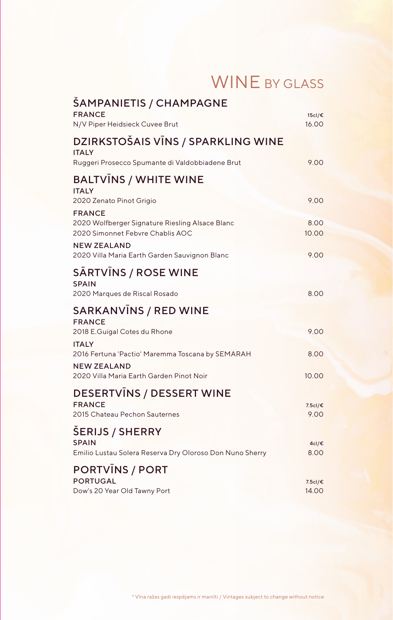|  |  |  | <b>WINE BY GLASS</b> |
|--|--|--|----------------------|
|--|--|--|----------------------|

| ŠAMPANIETIS / CHAMPAGNE<br><b>FRANCE</b>                                                             | 15cl/€           |
|------------------------------------------------------------------------------------------------------|------------------|
| N/V Piper Heidsieck Cuvee Brut                                                                       | 16.00            |
| DZIRKSTOŠAIS VĪNS / SPARKLING WINE<br><b>ITALY</b>                                                   |                  |
| Ruggeri Prosecco Spumante di Valdobbiadene Brut                                                      | 9.00             |
| <b>BALTVINS / WHITE WINE</b><br><b>ITALY</b>                                                         |                  |
| 2020 Zenato Pinot Grigio                                                                             | 9.00             |
| <b>FRANCE</b><br>2020 Wolfberger Signature Riesling Alsace Blanc<br>2020 Simonnet Febvre Chablis AOC | 8.00<br>10.00    |
| <b>NEW ZEALAND</b><br>2020 Villa Maria Earth Garden Sauvignon Blanc                                  | 9.00             |
| <b>SARTVINS / ROSE WINE</b><br><b>SPAIN</b>                                                          |                  |
| 2020 Marques de Riscal Rosado                                                                        | 8.00             |
| <b>SARKANVINS / RED WINE</b><br><b>FRANCE</b>                                                        |                  |
| 2018 E.Guigal Cotes du Rhone<br><b>ITALY</b>                                                         | 9.00             |
| 2016 Fertuna 'Pactio' Maremma Toscana by SEMARAH<br><b>NEW ZEALAND</b>                               | 8.00             |
| 2020 Villa Maria Earth Garden Pinot Noir                                                             | 10.00            |
| <b>DESERTVINS / DESSERT WINE</b>                                                                     |                  |
| <b>FRANCE</b><br>2015 Chateau Pechon Sauternes                                                       | 7.5cl/€<br>9.00  |
| <b>ŠERIJS / SHERRY</b><br><b>SPAIN</b>                                                               | 4cl/€            |
| Emilio Lustau Solera Reserva Dry Oloroso Don Nuno Sherry                                             | 8.00             |
| <b>PORTVINS / PORT</b>                                                                               |                  |
| <b>PORTUGAL</b><br>Dow's 20 Year Old Tawny Port                                                      | 7.5cl/€<br>14.00 |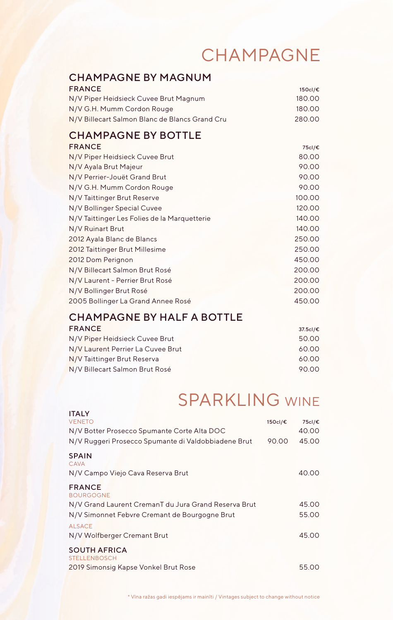#### CHAMPAGNE

#### CHAMPAGNE BY MAGNUM

| <b>FRANCE</b>                                  | 150cl/€ |
|------------------------------------------------|---------|
| N/V Piper Heidsieck Cuvee Brut Magnum          | 180.00  |
| N/V G.H. Mumm Cordon Rouge                     | 180.00  |
| N/V Billecart Salmon Blanc de Blancs Grand Cru | 280.00  |

#### CHAMPAGNE BY BOTTLE

| <b>FRANCE</b>                                | 75cl/€ |
|----------------------------------------------|--------|
| N/V Piper Heidsieck Cuvee Brut               | 80.00  |
| N/V Ayala Brut Majeur                        | 90.00  |
| N/V Perrier-Jouët Grand Brut                 | 90.00  |
| N/V G.H. Mumm Cordon Rouge                   | 90.00  |
| N/V Taittinger Brut Reserve                  | 100.00 |
| N/V Bollinger Special Cuvee                  | 120.00 |
| N/V Taittinger Les Folies de la Marquetterie | 140.00 |
| N/V Ruinart Brut                             | 140.00 |
| 2012 Ayala Blanc de Blancs                   | 250.00 |
| 2012 Taittinger Brut Millesime               | 250.00 |
| 2012 Dom Perignon                            | 450.00 |
| N/V Billecart Salmon Brut Rosé               | 200.00 |
| N/V Laurent - Perrier Brut Rosé              | 200.00 |
| N/V Bollinger Brut Rosé                      | 200.00 |
| 2005 Bollinger La Grand Annee Rosé           | 450.00 |

#### CHAMPAGNE BY HALF A BOTTLE FRANCE 37.5cl/€

| N/V Piper Heidsieck Cuvee Brut    | 50.00 |
|-----------------------------------|-------|
| N/V Laurent Perrier La Cuvee Brut | 60.00 |
| N/V Taittinger Brut Reserva       | 60.00 |
| N/V Billecart Salmon Brut Rosé    | 90.00 |

#### SPARKLING WINE

| <b>ITALY</b>                                         |         |        |
|------------------------------------------------------|---------|--------|
| <b>VENETO</b>                                        | 150cl/€ | 75cl/€ |
| N/V Botter Prosecco Spumante Corte Alta DOC          |         | 40.00  |
| N/V Ruggeri Prosecco Spumante di Valdobbiadene Brut  | 90.00   | 45.00  |
| <b>SPAIN</b><br>CAVA                                 |         |        |
| N/V Campo Viejo Cava Reserva Brut                    |         | 40.00  |
| <b>FRANCE</b>                                        |         |        |
| <b>BOURGOGNE</b>                                     |         |        |
| N/V Grand Laurent CremanT du Jura Grand Reserva Brut |         | 45.00  |
| N/V Simonnet Febvre Cremant de Bourgogne Brut        |         | 55.00  |
| <b>ALSACE</b>                                        |         |        |
| N/V Wolfberger Cremant Brut                          |         | 45.00  |
| <b>SOUTH AFRICA</b><br><b>STELLENBOSCH</b>           |         |        |
| 2019 Simonsig Kapse Vonkel Brut Rose                 |         | 55.00  |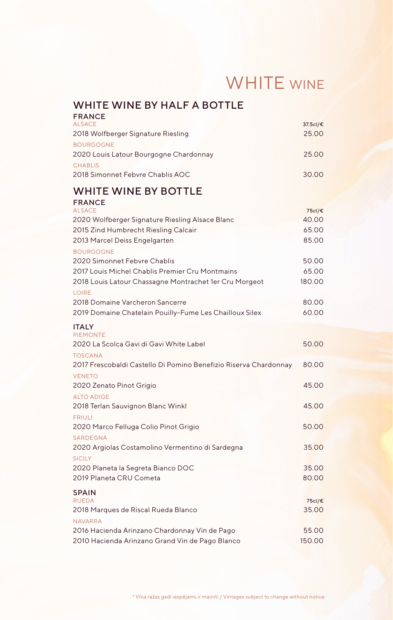## WHITE WINE

| WHITE WINE BY HALF A BOTTLE<br><b>FRANCE</b>                                 |                   |
|------------------------------------------------------------------------------|-------------------|
| <b>ALSACE</b><br>2018 Wolfberger Signature Riesling                          | 37.5cl/€<br>25.00 |
| <b>BOURGOGNE</b><br>2020 Louis Latour Bourgogne Chardonnay<br><b>CHABLIS</b> | 25.00             |
| 2018 Simonnet Febvre Chablis AOC                                             | 30.00             |
| <b>WHITE WINE BY BOTTLE</b>                                                  |                   |
| <b>FRANCE</b><br><b>ALSACE</b>                                               | 75cl/€            |
| 2020 Wolfberger Signature Riesling Alsace Blanc                              | 40.00             |
| 2015 Zind Humbrecht Riesling Calcair                                         | 65.00             |
| 2013 Marcel Deiss Engelgarten                                                | 85.00             |
| <b>BOURGOGNE</b>                                                             |                   |
| 2020 Simonnet Febvre Chablis                                                 | 50.00             |
| 2017 Louis Michel Chablis Premier Cru Montmains                              | 65.00             |
| 2018 Louis Latour Chassagne Montrachet 1er Cru Morgeot                       | 180.00            |
| LOIRE                                                                        |                   |
| 2018 Domaine Varcheron Sancerre                                              | 80.00             |
| 2019 Domaine Chatelain Pouilly-Fume Les Chailloux Silex                      | 60.00             |
| <b>ITALY</b><br><b>PIEMONTE</b>                                              |                   |
| 2020 La Scolca Gavi di Gavi White Label                                      | 50.00             |
| <b>TOSCANA</b>                                                               |                   |
| 2017 Frescobaldi Castello Di Pomino Benefizio Riserva Chardonnay             | 80.00             |
| <b>VENETO</b>                                                                |                   |
| 2020 Zenato Pinot Grigio                                                     | 45.00             |
| <b>ALTO ADIGE</b>                                                            |                   |
| 2018 Terlan Sauvignon Blanc Winkl                                            | 45.00             |
| <b>FRIULI</b>                                                                |                   |
| 2020 Marco Felluga Colio Pinot Grigio                                        | 50.00             |
| <b>SARDEGNA</b>                                                              |                   |
| 2020 Argiolas Costamolino Vermentino di Sardegna                             | 35.00             |
| <b>SICILY</b><br>2020 Planeta la Segreta Bianco DOC                          | 35.00             |
| 2019 Planeta CRU Cometa                                                      | 80.00             |
|                                                                              |                   |
| <b>SPAIN</b><br><b>RUEDA</b>                                                 | 75cl/€            |
| 2018 Marques de Riscal Rueda Blanco                                          | 35.00             |
| <b>NAVARRA</b>                                                               |                   |
| 2016 Hacienda Arinzano Chardonnay Vin de Pago                                | 55.00             |
| 2010 Hacienda Arinzano Grand Vin de Pago Blanco                              | 150.00            |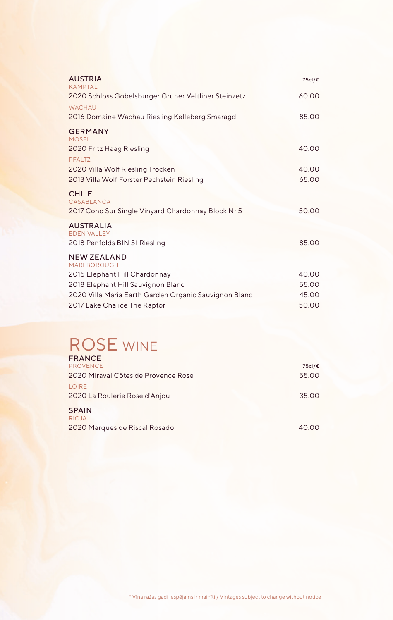| <b>AUSTRIA</b><br>KAMPTAI                                                        | 75cl/€ |
|----------------------------------------------------------------------------------|--------|
| 2020 Schloss Gobelsburger Gruner Veltliner Steinzetz                             | 60.00  |
| <b>WACHAU</b>                                                                    |        |
| 2016 Domaine Wachau Riesling Kelleberg Smaragd                                   | 85.00  |
| <b>GERMANY</b><br><b>MOSEL</b>                                                   |        |
| 2020 Fritz Haag Riesling<br>PFALTZ                                               | 40.00  |
| 2020 Villa Wolf Riesling Trocken                                                 | 40.00  |
| 2013 Villa Wolf Forster Pechstein Riesling                                       | 65.00  |
| <b>CHILE</b><br>CASABLANCA<br>2017 Cono Sur Single Vinyard Chardonnay Block Nr.5 | 50.00  |
| <b>AUSTRALIA</b>                                                                 |        |
| <b>EDEN VALLEY</b>                                                               |        |
| 2018 Penfolds BIN 51 Riesling                                                    | 85.00  |
| <b>NEW ZEALAND</b><br><b>MARLBOROUGH</b>                                         |        |
| 2015 Elephant Hill Chardonnay                                                    | 40.00  |
| 2018 Elephant Hill Sauvignon Blanc                                               | 55.00  |
| 2020 Villa Maria Earth Garden Organic Sauvignon Blanc                            | 45.00  |
| 2017 Lake Chalice The Raptor                                                     | 50.00  |

#### ROSE WINE

| <b>FRANCE</b>                       |        |
|-------------------------------------|--------|
| <b>PROVENCE</b>                     | 75cl/€ |
| 2020 Miraval Côtes de Provence Rosé | 55.00  |
| LOIRE                               |        |
| 2020 La Roulerie Rose d'Anjou       | 35.00  |
| <b>SPAIN</b>                        |        |
| <b>RIOJA</b>                        |        |
| 2020 Marques de Riscal Rosado       | 40.00  |
|                                     |        |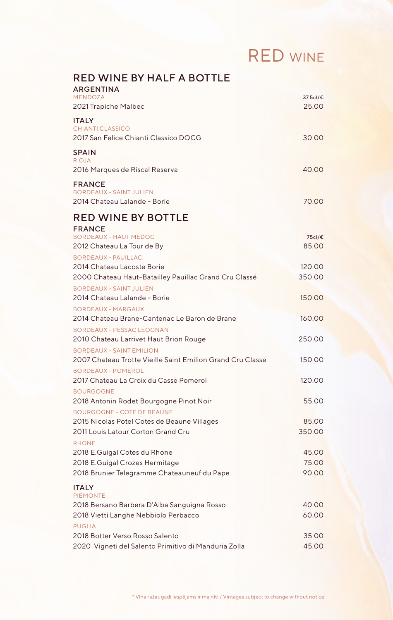## RED WINE

| <b>RED WINE BY HALF A BOTTLE</b><br><b>ARGENTINA</b>                                          |                   |
|-----------------------------------------------------------------------------------------------|-------------------|
| <b>MENDOZA</b><br>2021 Trapiche Malbec                                                        | 37.5cl/€<br>25.00 |
| <b>ITALY</b><br><b>CHIANTI CLASSICO</b><br>2017 San Felice Chianti Classico DOCG              | 30.00             |
| <b>SPAIN</b><br><b>RIOJA</b>                                                                  |                   |
| 2016 Marques de Riscal Reserva                                                                | 40.00             |
| <b>FRANCE</b><br><b>BORDEAUX - SAINT JULIEN</b><br>2014 Chateau Lalande - Borie               | 70.00             |
| <b>RED WINE BY BOTTLE</b>                                                                     |                   |
| <b>FRANCE</b>                                                                                 |                   |
| <b>BORDEAUX - HAUT MEDOC</b><br>2012 Chateau La Tour de By                                    | 75cl/€<br>85.00   |
| <b>BORDFAUX - PAUILLAC</b><br>2014 Chateau Lacoste Borie                                      | 120.00            |
| 2000 Chateau Haut-Batailley Pauillac Grand Cru Classé                                         | 350.00            |
| <b>BORDEAUX - SAINT JULIEN</b><br>2014 Chateau Lalande - Borie                                | 150.00            |
| <b>BORDEAUX - MARGAUX</b><br>2014 Chateau Brane-Cantenac Le Baron de Brane                    | 160.00            |
| <b>BORDEAUX - PESSAC LEOGNAN</b>                                                              |                   |
| 2010 Chateau Larrivet Haut Brion Rouge                                                        | 250.00            |
| <b>BORDEAUX - SAINT EMILION</b><br>2007 Chateau Trotte Vieille Saint Emilion Grand Cru Classe | 150.00            |
| <b>BORDEAUX - POMEROL</b>                                                                     |                   |
| 2017 Chateau La Croix du Casse Pomerol<br><b>BOURGOGNE</b>                                    | 120.00            |
| 2018 Antonin Rodet Bourgogne Pinot Noir                                                       | 55.00             |
| <b>BOURGOGNE - COTE DE BEAUNE</b>                                                             |                   |
| 2015 Nicolas Potel Cotes de Beaune Villages<br>2011 Louis Latour Corton Grand Cru             | 85.00<br>350.00   |
| <b>RHONE</b>                                                                                  |                   |
| 2018 E.Guigal Cotes du Rhone                                                                  | 45.00             |
| 2018 E.Guigal Crozes Hermitage                                                                | 75.00             |
| 2018 Brunier Telegramme Chateauneuf du Pape                                                   | 90.00             |
| <b>ITALY</b><br><b>PIEMONTE</b>                                                               |                   |
| 2018 Bersano Barbera D'Alba Sanguigna Rosso                                                   | 40.00             |
| 2018 Vietti Langhe Nebbiolo Perbacco                                                          | 60.00             |
| <b>PUGLIA</b><br>2018 Botter Verso Rosso Salento                                              | 35.00             |
| 2020 Vigneti del Salento Primitivo di Manduria Zolla                                          | 45.00             |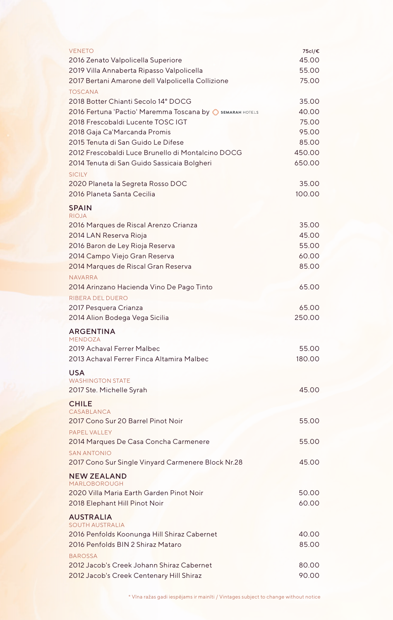| <b>VENETO</b>                                               | 75cl/€ |
|-------------------------------------------------------------|--------|
| 2016 Zenato Valpolicella Superiore                          | 45.00  |
| 2019 Villa Annaberta Ripasso Valpolicella                   | 55.00  |
| 2017 Bertani Amarone dell Valpolicella Collizione           | 75.00  |
| <b>TOSCANA</b>                                              |        |
| 2018 Botter Chianti Secolo 14° DOCG                         | 35.00  |
| 2016 Fertuna 'Pactio' Maremma Toscana by O SEMARAH HOTELS   | 40.00  |
| 2018 Frescobaldi Lucente TOSC IGT                           | 75.00  |
| 2018 Gaja Ca'Marcanda Promis                                | 95.00  |
| 2015 Tenuta di San Guido Le Difese                          | 85.00  |
| 2012 Frescobaldi Luce Brunello di Montalcino DOCG           | 450.00 |
| 2014 Tenuta di San Guido Sassicaia Bolgheri                 | 650.00 |
| <b>SICILY</b>                                               |        |
| 2020 Planeta la Segreta Rosso DOC                           | 35.00  |
| 2016 Planeta Santa Cecilia                                  | 100.00 |
|                                                             |        |
| <b>SPAIN</b><br><b>RIOJA</b>                                |        |
| 2016 Marques de Riscal Arenzo Crianza                       | 35.00  |
| 2014 LAN Reserva Rioja                                      | 45.00  |
| 2016 Baron de Ley Rioja Reserva                             | 55.00  |
| 2014 Campo Viejo Gran Reserva                               | 60.00  |
| 2014 Marques de Riscal Gran Reserva                         | 85.00  |
|                                                             |        |
| <b>NAVARRA</b><br>2014 Arinzano Hacienda Vino De Pago Tinto | 65.00  |
|                                                             |        |
| <b>RIBERA DEL DUERO</b>                                     | 65.00  |
| 2017 Pesquera Crianza<br>2014 Alion Bodega Vega Sicilia     | 250.00 |
|                                                             |        |
| <b>ARGENTINA</b>                                            |        |
| <b>MENDOZA</b><br>2019 Achaval Ferrer Malbec                | 55.00  |
|                                                             |        |
| 2013 Achaval Ferrer Finca Altamira Malbec                   | 180.00 |
| <b>USA</b>                                                  |        |
| <b>WASHINGTON STATE</b>                                     |        |
| 2017 Ste. Michelle Syrah                                    | 45.00  |
| <b>CHILE</b>                                                |        |
| CASABLANCA                                                  |        |
| 2017 Cono Sur 20 Barrel Pinot Noir                          | 55.00  |
| PAPFI VALLEY                                                |        |
| 2014 Marques De Casa Concha Carmenere                       | 55.00  |
| <b>SAN ANTONIO</b>                                          |        |
| 2017 Cono Sur Single Vinyard Carmenere Block Nr.28          | 45.00  |
| <b>NEW ZEALAND</b>                                          |        |
| <b>MARLOBOROUGH</b>                                         |        |
| 2020 Villa Maria Earth Garden Pinot Noir                    | 50.00  |
| 2018 Elephant Hill Pinot Noir                               | 60.00  |
| <b>AUSTRALIA</b>                                            |        |
| <b>SOUTH AUSTRALIA</b>                                      |        |
| 2016 Penfolds Koonunga Hill Shiraz Cabernet                 | 40.00  |
| 2016 Penfolds BIN 2 Shiraz Mataro                           | 85.00  |
| <b>BAROSSA</b>                                              |        |
| 2012 Jacob's Creek Johann Shiraz Cabernet                   | 80.00  |
| 2012 Jacob's Creek Centenary Hill Shiraz                    | 90.00  |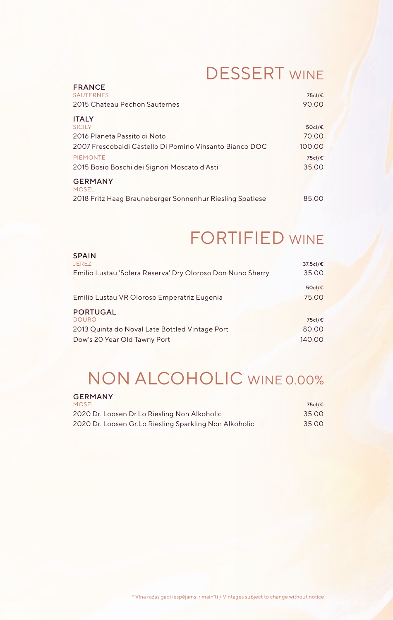#### DESSERT WINE

| <b>FRANCE</b>                                            |        |
|----------------------------------------------------------|--------|
| <b>SAUTERNES</b>                                         | 75cl/€ |
| 2015 Chateau Pechon Sauternes                            | 90.00  |
| <b>ITALY</b>                                             |        |
| <b>SICILY</b>                                            | 50cl/€ |
| 2016 Planeta Passito di Noto                             | 70.00  |
| 2007 Frescobaldi Castello Di Pomino Vinsanto Bianco DOC  | 100.00 |
| <b>PIEMONTE</b>                                          | 75cl/€ |
| 2015 Bosio Boschi dei Signori Moscato d'Asti             | 35.00  |
| <b>GERMANY</b><br><b>MOSEL</b>                           |        |
| 2018 Fritz Haag Brauneberger Sonnenhur Riesling Spatlese | 85.00  |

#### FORTIFIED WINE

| <b>SPAIN</b>                                               |          |
|------------------------------------------------------------|----------|
| <b>JEREZ</b>                                               | 37.5cl/€ |
| Emilio Lustau 'Solera Reserva' Dry Oloroso Don Nuno Sherry | 35.00    |
|                                                            | 50cl/€   |
| Emilio Lustau VR Oloroso Emperatriz Eugenia                | 75.00    |
| <b>PORTUGAL</b>                                            |          |
| <b>DOURO</b>                                               | 75cl/€   |
| 2013 Quinta do Noval Late Bottled Vintage Port             | 80.00    |
| Dow's 20 Year Old Tawny Port                               | 140.00   |

#### NON ALCOHOLIC WINE 0.00%

| <b>GERMANY</b>                                          |        |
|---------------------------------------------------------|--------|
| <b>MOSEL</b>                                            | 75cl/€ |
| 2020 Dr. Loosen Dr.Lo Riesling Non Alkoholic            | 35.00  |
| 2020 Dr. Loosen Gr. Lo Riesling Sparkling Non Alkoholic | 35.00  |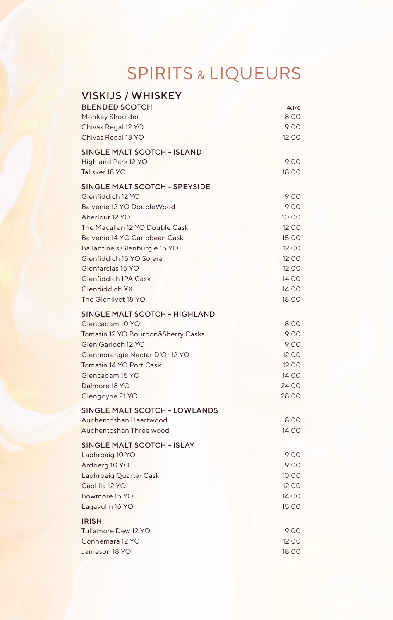# SPIRITS & LIQUEURS

| <b>VISKIJS / WHISKEY</b>             |       |
|--------------------------------------|-------|
| <b>BLENDED SCOTCH</b>                | 4cl/€ |
| Monkey Shoulder                      | 8.00  |
| Chivas Regal 12 YO                   | 9.00  |
| Chivas Regal 18 YO                   | 12.00 |
| <b>SINGLE MALT SCOTCH - ISLAND</b>   |       |
| Highland Park 12 YO                  | 9.00  |
| Talisker 18 YO                       | 18.00 |
| <b>SINGLE MALT SCOTCH - SPEYSIDE</b> |       |
| Glenfiddich 12 YO                    | 9.00  |
| Balvenie 12 YO DoubleWood            | 9.00  |
| Aberlour 12 YO                       | 10.00 |
| The Macallan 12 YO Double Cask       | 12.00 |
| Balvenie 14 YO Caribbean Cask        | 15.00 |
| Ballantine's Glenburgie 15 YO        | 12.00 |
| Glenfiddich 15 YO Solera             | 12.00 |
| Glenfarclas 15 YO                    | 12.00 |
| <b>Glenfiddich IPA Cask</b>          | 14.00 |
| Glendiddich XX                       | 14.00 |
| The Glenlivet 18 YO                  | 18.00 |
| <b>SINGLE MALT SCOTCH - HIGHLAND</b> |       |
| Glencadam 10 YO                      | 8.00  |
| Tomatin 12 YO Bourbon&Sherry Casks   | 9.00  |
| Glen Garioch 12 YO                   | 9.00  |
| Glenmorangie Nectar D'Or 12 YO       | 12.00 |
| Tomatin 14 YO Port Cask              | 12.00 |
| Glencadam 15 YO                      | 14.00 |
| Dalmore 18 YO                        | 24.00 |
| Glengoyne 21 YO                      | 28.00 |
| <b>SINGLE MALT SCOTCH - LOWLANDS</b> |       |
| Auchentoshan Heartwood               | 8.00  |
| Auchentoshan Three wood              | 14.00 |
| <b>SINGLE MALT SCOTCH - ISLAY</b>    |       |
| Laphroaig 10 YO                      | 9.00  |
| Ardberg 10 YO                        | 9.00  |
| Laphroaig Quarter Cask               | 10.00 |
| Caol Ila 12 YO                       | 12.00 |
| Bowmore 15 YO                        | 14.00 |
| Lagavulin 16 YO                      | 15.00 |
| <b>IRISH</b>                         |       |
| Tullamore Dew 12 YO                  | 9.00  |
| Connemara 12 YO                      | 12.00 |
| Jameson 18 YO                        | 18.00 |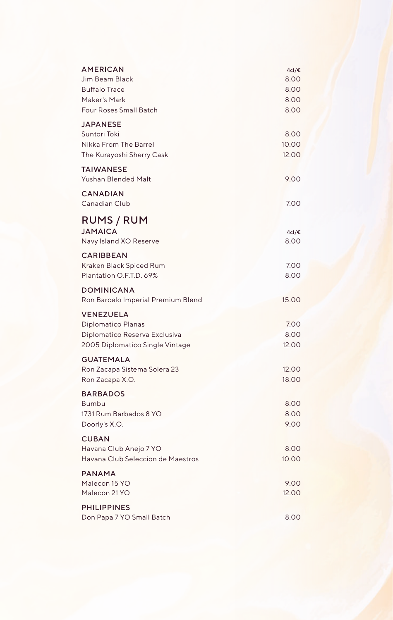| <b>AMERICAN</b><br>Jim Beam Black<br><b>Buffalo Trace</b><br>Maker's Mark<br>Four Roses Small Batch        | 4cl/€<br>8.00<br>8.00<br>8.00<br>8.00 |
|------------------------------------------------------------------------------------------------------------|---------------------------------------|
| <b>JAPANESE</b><br>Suntori Toki<br>Nikka From The Barrel<br>The Kurayoshi Sherry Cask                      | 8.00<br>10.00<br>12.00                |
| <b>TAIWANESE</b><br><b>Yushan Blended Malt</b>                                                             | 9.00                                  |
| <b>CANADIAN</b><br>Canadian Club                                                                           | 7.00                                  |
| RUMS / RUM<br><b>JAMAICA</b><br>Navy Island XO Reserve                                                     | 4cl/€<br>8.00                         |
| <b>CARIBBEAN</b><br>Kraken Black Spiced Rum<br>Plantation O.F.T.D. 69%                                     | 7.00<br>8.00                          |
| <b>DOMINICANA</b><br>Ron Barcelo Imperial Premium Blend                                                    | 15.00                                 |
| <b>VENEZUELA</b><br>Diplomatico Planas<br>Diplomatico Reserva Exclusiva<br>2005 Diplomatico Single Vintage | 7.00<br>8.00<br>12.00                 |
| <b>GUATEMALA</b><br>Ron Zacapa Sistema Solera 23<br>Ron Zacapa X.O.                                        | 12.00<br>18.00                        |
| <b>BARBADOS</b><br>Bumbu<br>1731 Rum Barbados 8 YO<br>Doorly's X.O.                                        | 8.00<br>8.00<br>9.00                  |
| <b>CUBAN</b><br>Havana Club Anejo 7 YO<br>Havana Club Seleccion de Maestros                                | 8.00<br>10.00                         |
| <b>PANAMA</b><br>Malecon 15 YO<br>Malecon 21 YO                                                            | 9.00<br>12.00                         |
| <b>PHILIPPINES</b><br>Don Papa 7 YO Small Batch                                                            | 8.00                                  |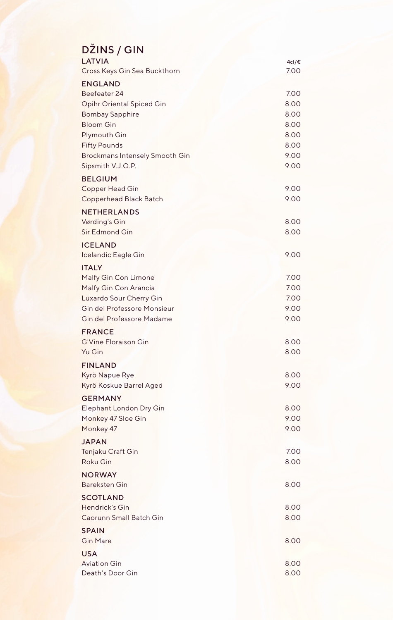| DŽINS / GIN                                                |              |
|------------------------------------------------------------|--------------|
| LATVIA                                                     | 4cl/€        |
| Cross Keys Gin Sea Buckthorn                               | 7.00         |
| <b>ENGLAND</b><br>Beefeater 24                             | 7.00         |
| <b>Opihr Oriental Spiced Gin</b>                           | 8.00         |
| <b>Bombay Sapphire</b>                                     | 8.00         |
| <b>Bloom Gin</b>                                           | 8.00         |
| Plymouth Gin                                               | 8.00         |
| <b>Fifty Pounds</b>                                        | 8.00<br>9.00 |
| <b>Brockmans Intensely Smooth Gin</b><br>Sipsmith V.J.O.P. | 9.00         |
| <b>BELGIUM</b>                                             |              |
| Copper Head Gin                                            | 9.00         |
| Copperhead Black Batch                                     | 9.00         |
| <b>NETHERLANDS</b>                                         |              |
| Vørding's Gin                                              | 8.00         |
| Sir Edmond Gin                                             | 8.00         |
| <b>ICELAND</b>                                             |              |
| Icelandic Eagle Gin                                        | 9.00         |
| <b>ITALY</b>                                               | 7.00         |
| Malfy Gin Con Limone<br>Malfy Gin Con Arancia              | 7.00         |
| Luxardo Sour Cherry Gin                                    | 7.00         |
| Gin del Professore Monsieur                                | 9.00         |
| Gin del Professore Madame                                  | 9.00         |
| <b>FRANCE</b>                                              |              |
| <b>G'Vine Floraison Gin</b>                                | 8.00         |
| Yu Gin                                                     | 8.00         |
| <b>FINLAND</b><br>Kyrö Napue Rye                           | 8.00         |
| Kyrö Koskue Barrel Aged                                    | 9.00         |
| <b>GERMANY</b>                                             |              |
| Elephant London Dry Gin                                    | 8.00         |
| Monkey 47 Sloe Gin                                         | 9.00         |
| Monkey 47                                                  | 9.00         |
| <b>JAPAN</b>                                               |              |
| Tenjaku Craft Gin<br><b>Roku Gin</b>                       | 7.00<br>8.00 |
| <b>NORWAY</b>                                              |              |
| <b>Bareksten Gin</b>                                       | 8.00         |
| <b>SCOTLAND</b>                                            |              |
| Hendrick's Gin                                             | 8.00         |
| Caorunn Small Batch Gin                                    | 8.00         |
| <b>SPAIN</b>                                               |              |
| <b>Gin Mare</b>                                            | 8.00         |
| <b>USA</b>                                                 |              |
| <b>Aviation Gin</b>                                        | 8.00         |
| Death's Door Gin                                           | 8.00         |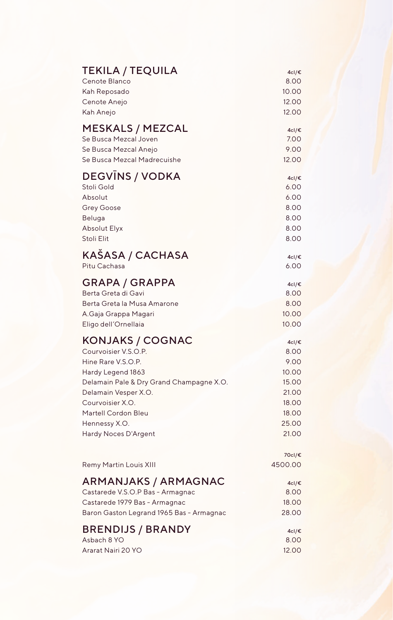| <b>TEKILA / TEQUILA</b>                  | 4cl/€             |
|------------------------------------------|-------------------|
| Cenote Blanco                            | 8.00              |
| Kah Reposado                             | 10.00             |
| Cenote Anejo                             | 12.00             |
| Kah Anejo                                | 12.00             |
| MESKALS / MEZCAL                         | 4cl/€             |
| Se Busca Mezcal Joven                    | 7.00              |
| Se Busca Mezcal Anejo                    | 9.00              |
| Se Busca Mezcal Madrecuishe              | 12.00             |
| <b>DEGVINS / VODKA</b>                   | 4cl/€             |
| Stoli Gold                               | 6.00              |
| Absolut                                  | 6.00              |
| <b>Grey Goose</b>                        | 8.00              |
| Beluga                                   | 8.00              |
| <b>Absolut Elyx</b>                      | 8.00              |
| Stoli Elit                               | 8.00              |
| KAŠASA / CACHASA                         | 4cl/€             |
| Pitu Cachasa                             | 6.00              |
| <b>GRAPA / GRAPPA</b>                    | 4cl/€             |
| Berta Greta di Gavi                      | 8.00              |
| Berta Greta la Musa Amarone              | 8.00              |
| A.Gaja Grappa Magari                     | 10.00             |
| Eligo dell'Ornellaia                     | 10.00             |
| KONJAKS / COGNAC                         | 4cl/€             |
| Courvoisier V.S.O.P.                     | 8.00              |
| Hine Rare V.S.O.P.                       | 9.00              |
| Hardy Legend 1863                        | 10.00             |
| Delamain Pale & Dry Grand Champagne X.O. | 15.00             |
| Delamain Vesper X.O.                     | 21.00             |
| Courvoisier X.O.                         | 18.00             |
| Martell Cordon Bleu                      | 18.00             |
| Hennessy X.O.                            | 25.00             |
| Hardy Noces D'Argent                     | 21.00             |
| Remy Martin Louis XIII                   | 70cl/€<br>4500.00 |
| ARMANJAKS / ARMAGNAC                     | 4cl/€             |
| Castarede V.S.O.P Bas - Armagnac         | 8.00              |
| Castarede 1979 Bas - Armagnac            | 18.00             |
| Baron Gaston Legrand 1965 Bas - Armagnac | 28.00             |
| <b>BRENDIJS / BRANDY</b>                 | 4cl/€             |
| Asbach 8 YO                              | 8.00              |
| Ararat Nairi 20 YO                       | 12.00             |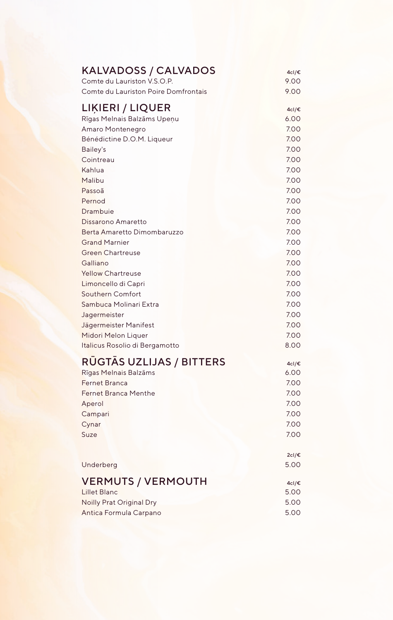| KALVADOSS / CALVADOS                 | 4cl/€         |
|--------------------------------------|---------------|
| Comte du Lauriston V.S.O.P.          | 9.00          |
| Comte du Lauriston Poire Domfrontais | 9.00          |
| LIĶIERI / LIQUER                     | 4cl/€         |
| Rīgas Melnais Balzāms Upeņu          | 6.00          |
| Amaro Montenegro                     | 7.00          |
| Bénédictine D.O.M. Liqueur           | 7.00          |
| Bailey's                             | 7.00          |
| Cointreau                            | 7.00          |
| Kahlua                               | 7.00          |
| Malibu                               | 7.00          |
| Passoã                               | 7.00          |
| Pernod                               | 7.00          |
| Drambuie                             | 7.00          |
| Dissarono Amaretto                   | 7.00          |
| Berta Amaretto Dimombaruzzo          | 7.00          |
| <b>Grand Marnier</b>                 | 7.00          |
| <b>Green Chartreuse</b>              | 7.00          |
| Galliano                             | 7.00          |
| <b>Yellow Chartreuse</b>             | 7.00          |
| Limoncello di Capri                  | 7.00          |
| <b>Southern Comfort</b>              | 7.00          |
| Sambuca Molinari Extra               | 7.00          |
| Jagermeister                         | 7.00          |
| Jägermeister Manifest                | 7.00          |
| Midori Melon Liquer                  | 7.00          |
| Italicus Rosolio di Bergamotto       | 8.00          |
| <b>RUGTAS UZLIJAS / BITTERS</b>      | 4cl/€         |
| Rīgas Melnais Balzāms                | 6.00          |
| <b>Fernet Branca</b>                 | 7.00          |
| <b>Fernet Branca Menthe</b>          | 7.00          |
| Aperol                               | 7.00          |
| Campari                              | 7.00          |
| Cynar                                | 7.00          |
| Suze                                 | 7.00          |
| Underberg                            | 2cl/€<br>5.00 |
| <b>VERMUTS / VERMOUTH</b>            | 4cl/€         |
| <b>Lillet Blanc</b>                  | 5.00          |
| <b>Noilly Prat Original Dry</b>      | 5.00          |
| Antica Formula Carpano               | 5.00          |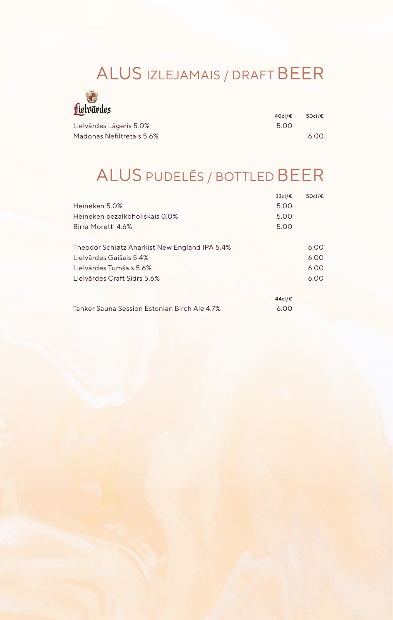#### ALUS IZLEJAMAIS / DRAFT BEER



| 一                         | 40cl/€ | 50cl/€ |
|---------------------------|--------|--------|
| Lielvārdes Lāgeris 5.0%   | 5.00   |        |
| Madonas Nefiltrētais 5.6% |        | 6.00   |

## ALUS PUDELĒS / BOTTLED BEER

|                                               | 33cl/€ | 50cl/€ |
|-----------------------------------------------|--------|--------|
| Heineken 5.0%                                 | 5.00   |        |
| Heineken bezalkoholiskais 0.0%                | 5.00   |        |
| Birra Moretti 4.6%                            | 5.00   |        |
| Theodor Schiøtz Anarkist New England IPA 5.4% |        | 6.00   |
| Lielvārdes Gaišais 5.4%                       |        | 6.00   |
| Lielvārdes Tumšais 5.6%                       |        | 6.00   |
| Lielvārdes Craft Sidrs 5.6%                   |        | 6.00   |
|                                               | 44cl/€ |        |
| Tanker Sauna Session Estonian Birch Ale 4.7%  | 6.00   |        |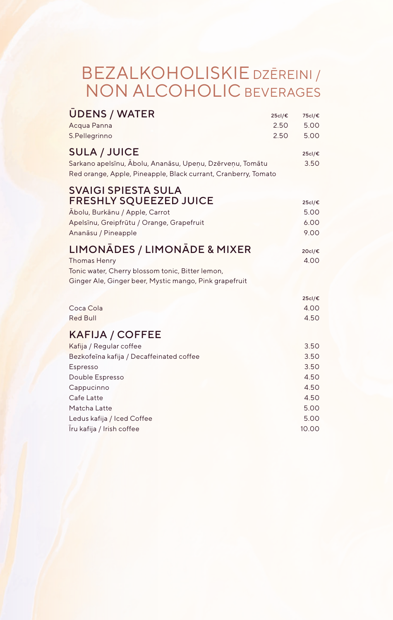#### BEZALKOHOLISKIE DZĒREINI / NON ALCOHOLIC BEVERAGES

| 25cl/€<br>2.50<br>2.50                                                                                                      | 75cl/€<br>5.00<br>5.00                                                |
|-----------------------------------------------------------------------------------------------------------------------------|-----------------------------------------------------------------------|
| Sarkano apelsīnu, Ābolu, Ananāsu, Upeņu, Dzērveņu, Tomātu<br>Red orange, Apple, Pineapple, Black currant, Cranberry, Tomato | 25cl/€<br>3.50                                                        |
|                                                                                                                             | 25cl/€<br>5.00<br>6.00<br>9.00                                        |
|                                                                                                                             | 20cl/€<br>4.00                                                        |
|                                                                                                                             | 25cl/€<br>4.00<br>4.50                                                |
|                                                                                                                             | 3.50<br>3.50<br>3.50<br>4.50<br>4.50<br>4.50<br>5.00<br>5.00<br>10.00 |
|                                                                                                                             |                                                                       |